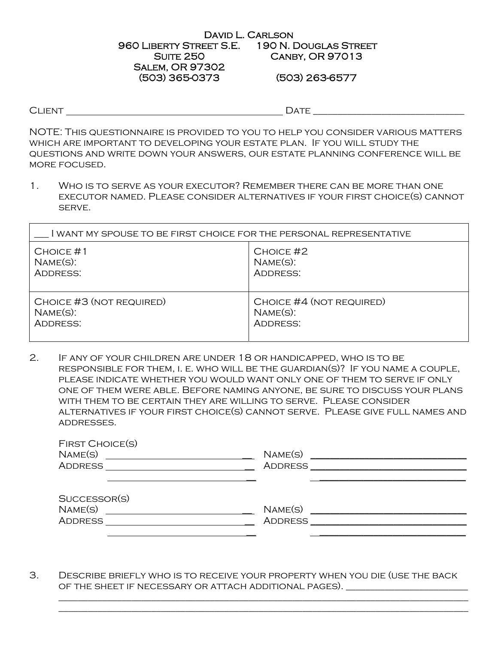#### David L. Carlson 960 Liberty Street S.E. 190 N. Douglas Street **SUITE 250** Salem, OR 97302 (503) 365-0373 Canby, OR 97013 (503) 263-6577

CLIENT DATE

NOTE: This questionnaire is provided to you to help you consider various matters which are important to developing your estate plan. If you will study the questions and write down your answers, our estate planning conference will be more focused.

1. Who is to serve as your executor? Remember there can be more than one executor named. Please consider alternatives if your first choice(s) cannot serve.

| l WANT MY SPOUSE TO BE FIRST CHOICE FOR THE PERSONAL REPRESENTATIVE |                          |  |  |
|---------------------------------------------------------------------|--------------------------|--|--|
| $CHOICE$ #1                                                         | CHOICE #2                |  |  |
| $NAME(S)$ :                                                         | $NAME(S)$ :              |  |  |
| ADDRESS:                                                            | ADDRESS:                 |  |  |
| CHOICE #3 (NOT REQUIRED)                                            | CHOICE #4 (NOT REQUIRED) |  |  |
| $NAME(S)$ :                                                         | $NAME(S)$ :              |  |  |
| <b>ADDRESS:</b>                                                     | <b>ADDRESS:</b>          |  |  |

2. If any of your children are under 18 or handicapped, who is to be RESPONSIBLE FOR THEM, I. E. WHO WILL BE THE GUARDIAN(S)? IF YOU NAME A COUPLE, please indicate whether you would want only one of them to serve if only one of them were able. Before naming anyone, be sure to discuss your plans with them to be certain they are willing to serve. Please consider alternatives if your first choice(s) cannot serve. Please give full names and addresses.

| <b>FIRST CHOICE(S)</b><br>NAME(S) | NAME(S) |  |
|-----------------------------------|---------|--|
| <b>ADDRESS</b>                    | ADDRESS |  |
|                                   |         |  |
| SUCCESSOR(S)                      |         |  |
| NAME(S)                           | NAME(S) |  |

3. Describe briefly who is to receive your property when you die (use the back of the sheet if necessary or attach additional pages). \_\_\_\_\_\_\_\_\_\_\_\_\_\_\_\_\_\_\_\_\_\_\_\_\_

\_\_\_\_\_\_\_\_\_\_\_\_\_\_\_\_\_\_\_\_\_\_\_\_\_\_\_\_\_\_\_\_\_\_\_\_\_\_\_\_\_\_\_\_\_\_\_\_\_\_\_\_\_\_\_\_\_\_\_\_\_\_\_\_\_\_\_\_\_\_\_\_\_\_\_\_\_\_\_\_\_\_\_\_

\_\_\_\_\_\_\_\_\_\_\_\_\_\_\_\_\_\_\_\_\_\_\_\_\_\_\_\_\_\_\_\_\_\_\_\_\_\_\_\_\_\_\_\_\_\_\_\_\_\_\_\_\_\_\_\_\_\_\_\_\_\_\_\_\_\_\_\_\_\_\_\_\_\_\_\_\_\_\_\_\_\_\_\_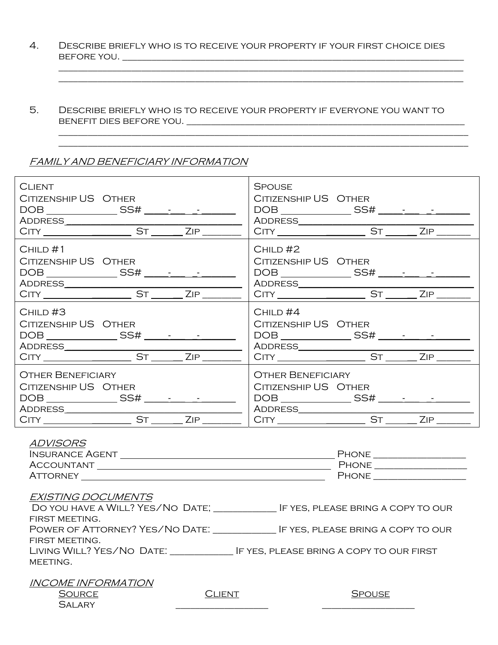4. Describe briefly who is to receive your property if your first choice dies before you. \_\_\_\_\_\_\_\_\_\_\_\_\_\_\_\_\_\_\_\_\_\_\_\_\_\_\_\_\_\_\_\_\_\_\_\_\_\_\_\_\_\_\_\_\_\_\_\_\_\_\_\_\_\_\_\_\_\_\_\_\_\_\_\_\_\_\_\_\_\_

\_\_\_\_\_\_\_\_\_\_\_\_\_\_\_\_\_\_\_\_\_\_\_\_\_\_\_\_\_\_\_\_\_\_\_\_\_\_\_\_\_\_\_\_\_\_\_\_\_\_\_\_\_\_\_\_\_\_\_\_\_\_\_\_\_\_\_\_\_\_\_\_\_\_\_\_\_\_\_\_\_\_\_ \_\_\_\_\_\_\_\_\_\_\_\_\_\_\_\_\_\_\_\_\_\_\_\_\_\_\_\_\_\_\_\_\_\_\_\_\_\_\_\_\_\_\_\_\_\_\_\_\_\_\_\_\_\_\_\_\_\_\_\_\_\_\_\_\_\_\_\_\_\_\_\_\_\_\_\_\_\_\_\_\_\_\_

 $\mathcal{L}_\text{max} = \mathcal{L}_\text{max} = \mathcal{L}_\text{max} = \mathcal{L}_\text{max} = \mathcal{L}_\text{max} = \mathcal{L}_\text{max} = \mathcal{L}_\text{max} = \mathcal{L}_\text{max} = \mathcal{L}_\text{max} = \mathcal{L}_\text{max} = \mathcal{L}_\text{max} = \mathcal{L}_\text{max} = \mathcal{L}_\text{max} = \mathcal{L}_\text{max} = \mathcal{L}_\text{max} = \mathcal{L}_\text{max} = \mathcal{L}_\text{max} = \mathcal{L}_\text{max} = \mathcal{$ 

5. Describe briefly who is to receive your property if everyone you want to benefit dies before you. \_\_\_\_\_\_\_\_\_\_\_\_\_\_\_\_\_\_\_\_\_\_\_\_\_\_\_\_\_\_\_\_\_\_\_\_\_\_\_\_\_\_\_\_\_\_\_\_\_\_\_\_\_\_\_\_\_

\_\_\_\_\_\_\_\_\_\_\_\_\_\_\_\_\_\_\_\_\_\_\_\_\_\_\_\_\_\_\_\_\_\_\_\_\_\_\_\_\_\_\_\_\_\_\_\_\_\_\_\_\_\_\_\_\_\_\_\_\_\_\_\_\_\_\_\_\_\_\_\_\_\_\_\_\_\_\_\_\_\_\_\_

# FAMILY AND BENEFICIARY INFORMATION

| <b>CLIENT</b>                                                                                                                                                                                                                                                                  | <b>SPOUSE</b>                                                                            |
|--------------------------------------------------------------------------------------------------------------------------------------------------------------------------------------------------------------------------------------------------------------------------------|------------------------------------------------------------------------------------------|
| CITIZENSHIP US OTHER                                                                                                                                                                                                                                                           | CITIZENSHIP US OTHER                                                                     |
|                                                                                                                                                                                                                                                                                |                                                                                          |
|                                                                                                                                                                                                                                                                                |                                                                                          |
| CHILD#1                                                                                                                                                                                                                                                                        | $CHILD$ #2                                                                               |
| CITIZENSHIP US OTHER                                                                                                                                                                                                                                                           | CITIZENSHIP US OTHER                                                                     |
|                                                                                                                                                                                                                                                                                | $DOB \qquad \qquad \underline{\qquad} SS\# \underline{\qquad} \qquad \underline{\qquad}$ |
|                                                                                                                                                                                                                                                                                |                                                                                          |
| $CHILD$ #3                                                                                                                                                                                                                                                                     | $CHILD$ #4                                                                               |
| CITIZENSHIP US OTHER                                                                                                                                                                                                                                                           | CITIZENSHIP US OTHER                                                                     |
|                                                                                                                                                                                                                                                                                |                                                                                          |
|                                                                                                                                                                                                                                                                                |                                                                                          |
| <b>OTHER BENEFICIARY</b>                                                                                                                                                                                                                                                       | <b>OTHER BENEFICIARY</b>                                                                 |
| CITIZENSHIP US OTHER                                                                                                                                                                                                                                                           | CITIZENSHIP US OTHER                                                                     |
|                                                                                                                                                                                                                                                                                | $\begin{array}{c c}\n\text{DOB} & \text{SSH} & \text{SSH} \\ \hline\n\end{array}$        |
|                                                                                                                                                                                                                                                                                |                                                                                          |
| <b>ADVISORS</b><br>ATTORNEY THE CONTROL CONTROL CONTROL CONTROL CONTROL CONTROL CONTROL CONTROL CONTROL CONTROL CONTROL CONTROL CONTROL CONTROL CONTROL CONTROL CONTROL CONTROL CONTROL CONTROL CONTROL CONTROL CONTROL CONTROL CONTROL CONTROL C<br><b>EXISTING DOCUMENTS</b> | PHONE _______________________                                                            |

| 2, 110 1 11 1 0 D 0 0 1 1 1 1 1 1 0 |                                          |
|-------------------------------------|------------------------------------------|
| DO YOU HAVE A WILL? YES/NO DATE;    | IF YES, PLEASE BRING A COPY TO OUR       |
| FIRST MEETING.                      |                                          |
| POWER OF ATTORNEY? YES/NO DATE:     | IF YES, PLEASE BRING A COPY TO OUR       |
| FIRST MEETING.                      |                                          |
| Living Will? Yes/No Date:           | IF YES, PLEASE BRING A COPY TO OUR FIRST |
| MEETING.                            |                                          |

| <i><b>INCOME INFORMATION</b></i> |               |         |
|----------------------------------|---------------|---------|
| <b>SOURCE</b>                    | <b>CLIENT</b> | SPOLISE |
| <b>SAI ARY</b>                   |               |         |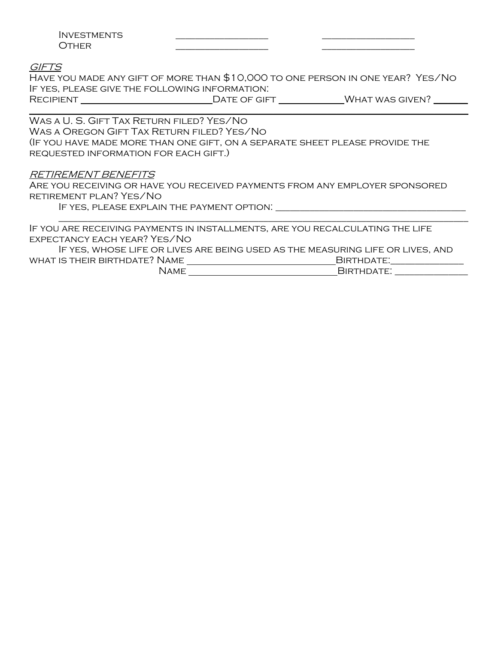## GIFTS

Have you made any gift of more than \$10,000 to one person in one year? Yes/No If yes, please give the following information: RECIPIENT DATE OF GIFT WHAT WAS GIVEN? \_\_\_\_\_\_\_\_\_\_\_\_\_\_\_\_\_\_\_\_\_\_\_\_\_\_\_\_\_\_\_\_\_\_\_\_\_\_\_\_\_\_\_\_\_\_\_\_\_\_\_\_\_\_\_\_\_\_\_\_\_\_\_\_\_\_\_\_\_\_\_\_\_\_\_\_\_\_\_\_\_\_\_\_\_\_\_\_\_\_

Was a U. S. Gift Tax Return filed? Yes/No Was a Oregon Gift Tax Return filed? Yes/No (If you have made more than one gift, on a separate sheet please provide the requested information for each gift.)

## RETIREMENT BENEFITS

Are you receiving or have you received payments from any employer sponsored retirement plan? Yes/No

If yes, please explain the payment option: \_\_\_\_\_\_\_\_\_\_\_\_\_\_\_\_\_\_\_\_\_\_\_\_\_\_\_\_\_\_\_\_\_\_\_\_\_\_\_

If you are receiving payments in installments, are you recalculating the life expectancy each year? Yes/No

If yes, whose life or lives are being used as the measuring life or lives, and what is their birthdate? Name Birthdate:\_\_\_\_\_\_\_\_\_\_\_\_\_\_\_

\_\_\_\_\_\_\_\_\_\_\_\_\_\_\_\_\_\_\_\_\_\_\_\_\_\_\_\_\_\_\_\_\_\_\_\_\_\_\_\_\_\_\_\_\_\_\_\_\_\_\_\_\_\_\_\_\_\_\_\_\_\_\_\_\_\_\_\_\_\_\_\_\_\_\_\_\_\_\_\_\_\_\_\_

Name Birthdate: \_\_\_\_\_\_\_\_\_\_\_\_\_\_\_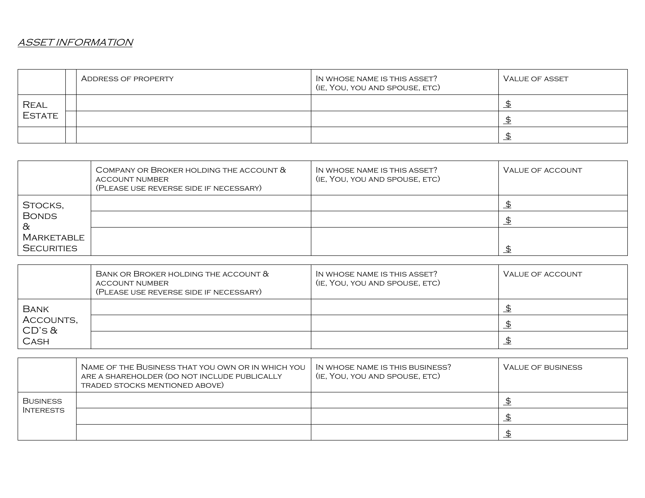# ASSET INFORMATION

|               | ADDRESS OF PROPERTY | IN WHOSE NAME IS THIS ASSET?<br>(IE, YOU, YOU AND SPOUSE, ETC) | <b>VALUE OF ASSET</b> |
|---------------|---------------------|----------------------------------------------------------------|-----------------------|
| <b>REAL</b>   |                     |                                                                |                       |
| <b>ESTATE</b> |                     |                                                                |                       |
|               |                     |                                                                |                       |

|                   | COMPANY OR BROKER HOLDING THE ACCOUNT $\&$<br>ACCOUNT NUMBER<br>(PLEASE USE REVERSE SIDE IF NECESSARY) | IN WHOSE NAME IS THIS ASSET?<br>(IE, YOU, YOU AND SPOUSE, ETC) | VALUE OF ACCOUNT |
|-------------------|--------------------------------------------------------------------------------------------------------|----------------------------------------------------------------|------------------|
| STOCKS,           |                                                                                                        |                                                                |                  |
| <b>BONDS</b><br>∝ |                                                                                                        |                                                                |                  |
| Marketable        |                                                                                                        |                                                                |                  |
| <b>SECURITIES</b> |                                                                                                        |                                                                |                  |

|                                                         | BANK OR BROKER HOLDING THE ACCOUNT &<br>ACCOUNT NUMBER<br>(PLEASE USE REVERSE SIDE IF NECESSARY) | IN WHOSE NAME IS THIS ASSET?<br>(IE, YOU, YOU AND SPOUSE, ETC) | VALUE OF ACCOUNT |
|---------------------------------------------------------|--------------------------------------------------------------------------------------------------|----------------------------------------------------------------|------------------|
| <b>BANK</b><br>ACCOUNTS,<br>$CD$ 's $\&$<br><b>CASH</b> |                                                                                                  |                                                                |                  |
|                                                         |                                                                                                  |                                                                |                  |
|                                                         |                                                                                                  |                                                                |                  |

|                  | NAME OF THE BUSINESS THAT YOU OWN OR IN WHICH YOU<br>ARE A SHAREHOLDER (DO NOT INCLUDE PUBLICALLY<br>TRADED STOCKS MENTIONED ABOVE) | IN WHOSE NAME IS THIS BUSINESS?<br>(IE, YOU, YOU AND SPOUSE, ETC) | VALUE OF BUSINESS |
|------------------|-------------------------------------------------------------------------------------------------------------------------------------|-------------------------------------------------------------------|-------------------|
| <b>BUSINESS</b>  |                                                                                                                                     |                                                                   |                   |
| <b>INTERESTS</b> |                                                                                                                                     |                                                                   |                   |
|                  |                                                                                                                                     |                                                                   |                   |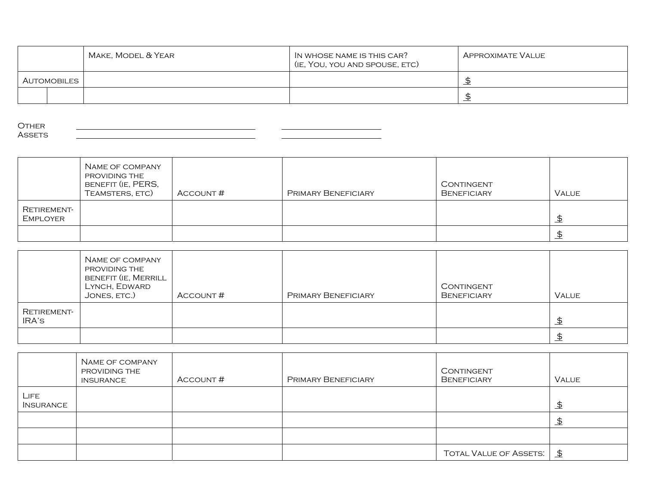|             | Make, Model & Year | IN WHOSE NAME IS THIS CAR?<br>(IE, YOU, YOU AND SPOUSE, ETC) | APPROXIMATE VALUE |
|-------------|--------------------|--------------------------------------------------------------|-------------------|
| AUTOMOBILES |                    |                                                              |                   |
|             |                    |                                                              |                   |

**OTHER ASSETS** 

|                         | NAME OF COMPANY<br>PROVIDING THE<br>BENEFIT (IE, PERS,<br>TEAMSTERS, ETC) | ACCOUNT# | PRIMARY BENEFICIARY | CONTINGENT<br><b>BENEFICIARY</b> | <b>VALUE</b> |
|-------------------------|---------------------------------------------------------------------------|----------|---------------------|----------------------------------|--------------|
| RETIREMENT-<br>EMPLOYER |                                                                           |          |                     |                                  | <u>\$</u>    |
|                         |                                                                           |          |                     |                                  |              |

|                      | NAME OF COMPANY<br>PROVIDING THE<br>BENEFIT (IE, MERRILL<br>LYNCH, EDWARD<br>JONES, ETC.) | Account # | PRIMARY BENEFICIARY | CONTINGENT<br><b>BENEFICIARY</b> | <b>VALUE</b> |
|----------------------|-------------------------------------------------------------------------------------------|-----------|---------------------|----------------------------------|--------------|
| RETIREMENT-<br>IRA'S |                                                                                           |           |                     |                                  | \$           |
|                      |                                                                                           |           |                     |                                  | \$           |

|                          | NAME OF COMPANY<br>PROVIDING THE<br><b>INSURANCE</b> | ACCOUNT# | PRIMARY BENEFICIARY | CONTINGENT<br><b>BENEFICIARY</b> | Value          |
|--------------------------|------------------------------------------------------|----------|---------------------|----------------------------------|----------------|
| LIFE<br><b>INSURANCE</b> |                                                      |          |                     |                                  | $\overline{P}$ |
|                          |                                                      |          |                     |                                  | <u>\$</u>      |
|                          |                                                      |          |                     |                                  |                |
|                          |                                                      |          |                     | <b>TOTAL VALUE OF ASSETS:</b>    | $\mathfrak{D}$ |